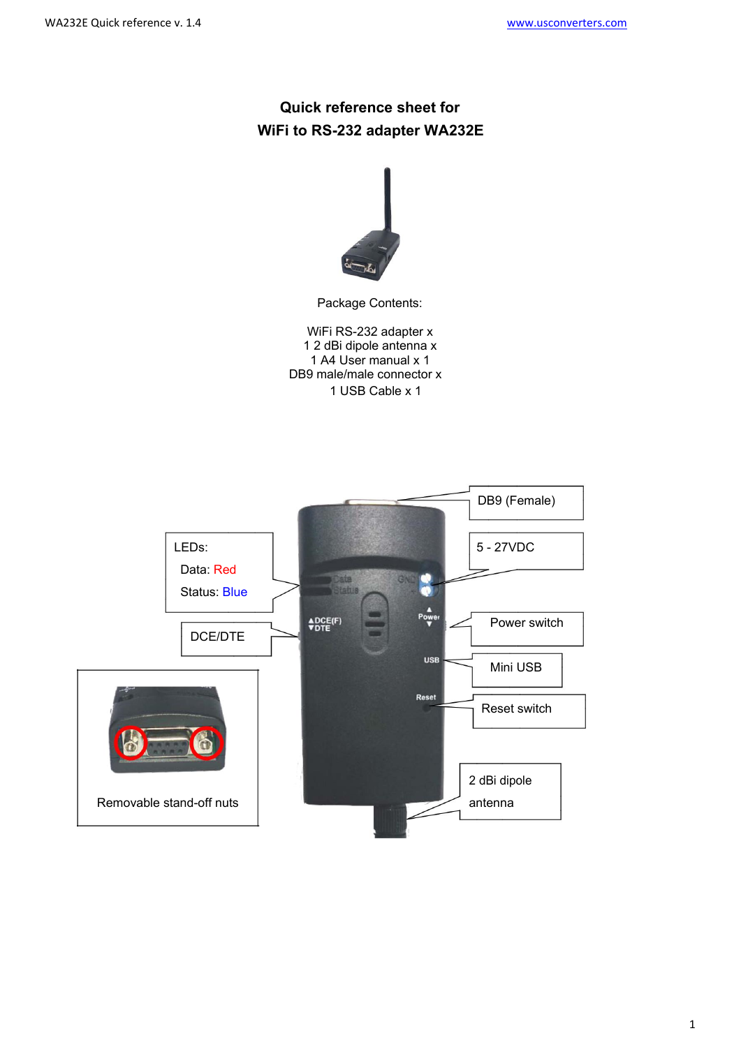# **Quick reference sheet for WiFi to RS-232 adapter WA232E**



Package Contents:

WiFi RS-232 adapter x 1 2 dBi dipole antenna x 1 A4 User manual x 1 DB9 male/male connector x 1 USB Cable x 1

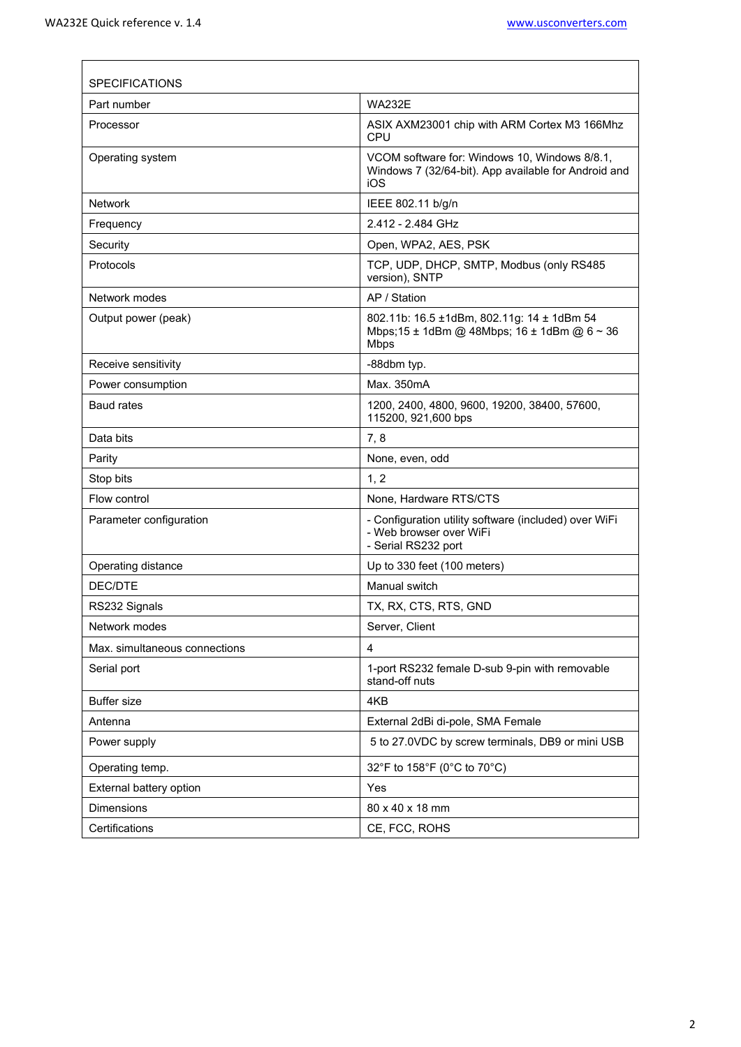$\sqrt{ }$ 

| <b>SPECIFICATIONS</b>         |                                                                                                              |  |  |  |
|-------------------------------|--------------------------------------------------------------------------------------------------------------|--|--|--|
| Part number                   | <b>WA232F</b>                                                                                                |  |  |  |
| Processor                     | ASIX AXM23001 chip with ARM Cortex M3 166Mhz<br><b>CPU</b>                                                   |  |  |  |
| Operating system              | VCOM software for: Windows 10, Windows 8/8.1,<br>Windows 7 (32/64-bit). App available for Android and<br>iOS |  |  |  |
| <b>Network</b>                | IEEE 802.11 b/g/n                                                                                            |  |  |  |
| Frequency                     | 2.412 - 2.484 GHz                                                                                            |  |  |  |
| Security                      | Open, WPA2, AES, PSK                                                                                         |  |  |  |
| Protocols                     | TCP, UDP, DHCP, SMTP, Modbus (only RS485<br>version), SNTP                                                   |  |  |  |
| Network modes                 | AP / Station                                                                                                 |  |  |  |
| Output power (peak)           | 802.11b: 16.5 ±1dBm, 802.11g: 14 ± 1dBm 54<br>Mbps; 15 ± 1dBm @ 48Mbps; 16 ± 1dBm @ 6 ~ 36<br><b>Mbps</b>    |  |  |  |
| Receive sensitivity           | -88dbm typ.                                                                                                  |  |  |  |
| Power consumption             | Max. 350mA                                                                                                   |  |  |  |
| <b>Baud rates</b>             | 1200, 2400, 4800, 9600, 19200, 38400, 57600,<br>115200, 921,600 bps                                          |  |  |  |
| Data bits                     | 7,8                                                                                                          |  |  |  |
| Parity                        | None, even, odd                                                                                              |  |  |  |
| Stop bits                     | 1, 2                                                                                                         |  |  |  |
| Flow control                  | None, Hardware RTS/CTS                                                                                       |  |  |  |
| Parameter configuration       | - Configuration utility software (included) over WiFi<br>- Web browser over WiFi<br>- Serial RS232 port      |  |  |  |
| Operating distance            | Up to 330 feet (100 meters)                                                                                  |  |  |  |
| DEC/DTE                       | Manual switch                                                                                                |  |  |  |
| RS232 Signals                 | TX, RX, CTS, RTS, GND                                                                                        |  |  |  |
| Network modes                 | Server, Client                                                                                               |  |  |  |
| Max. simultaneous connections | 4                                                                                                            |  |  |  |
| Serial port                   | 1-port RS232 female D-sub 9-pin with removable<br>stand-off nuts                                             |  |  |  |
| <b>Buffer size</b>            | 4KB                                                                                                          |  |  |  |
| Antenna                       | External 2dBi di-pole, SMA Female                                                                            |  |  |  |
| Power supply                  | 5 to 27.0VDC by screw terminals, DB9 or mini USB                                                             |  |  |  |
| Operating temp.               | 32°F to 158°F (0°C to 70°C)                                                                                  |  |  |  |
| External battery option       | Yes                                                                                                          |  |  |  |
| <b>Dimensions</b>             | 80 x 40 x 18 mm                                                                                              |  |  |  |
| Certifications                | CE, FCC, ROHS                                                                                                |  |  |  |

<u> 1980 - Johann Stoff, fransk politik (f. 1980)</u>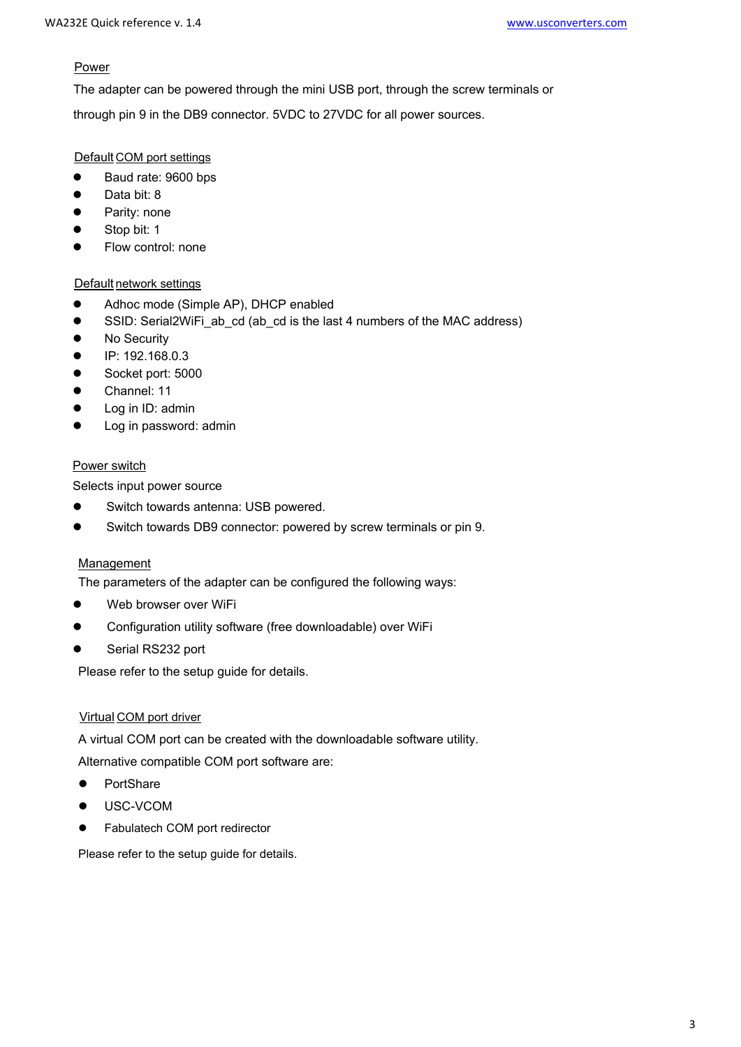### Power.

The adapter can be powered through the mini USB port, through the screw terminals or

through pin 9 in the DB9 connector. 5VDC to 27VDC for all power sources.

# Default COM port settings

- Baud rate: 9600 bps
- Data bit: 8
- Parity: none
- Stop bit: 1
- Flow control: none

# Default network settings

- Adhoc mode (Simple AP), DHCP enabled<br>• SSID: Serial2WiFi ab cd (ab cd is the last
- SSID: Serial2WiFi\_ab\_cd (ab\_cd is the last 4 numbers of the MAC address)<br>● No Security
- No Security<br>● IP: 192 168
- IP: 192.168.0.3
- Socket port: 5000
- Channel: 11
- Log in ID: admin
- Log in password: admin

# Power switch

Selects input power source

- Switch towards antenna: USB powered.
- Switch towards DB9 connector: powered by screw terminals or pin 9.

# Management

The parameters of the adapter can be configured the following ways:

- Web browser over WiFi<br>● Configuration utility soft
- Configuration utility software (free downloadable) over WiFi
- Serial RS232 port

Please refer to the setup guide for details.

#### <sup>U</sup>Virtual COM port driver

A virtual COM port can be created with the downloadable software utility.

Alternative compatible COM port software are:

- **•** PortShare
- USC-VCOM
- **•** Fabulatech COM port redirector

Please refer to the setup guide for details.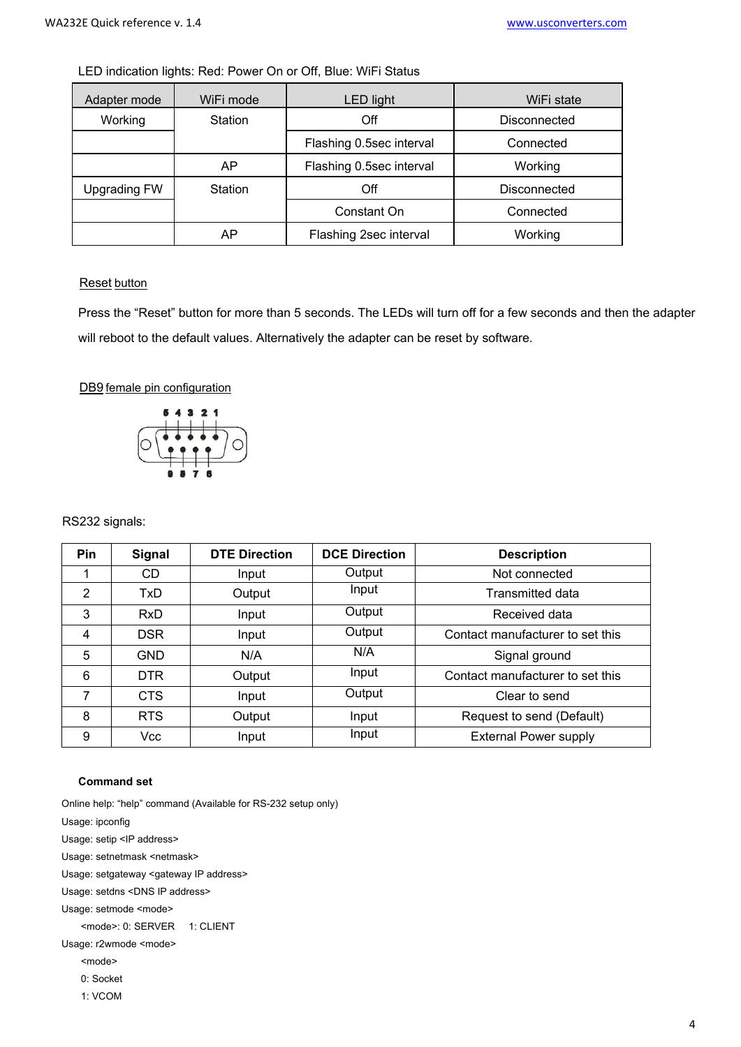| LED indication lights: Red: Power On or Off, Blue: WiFi Status |  |
|----------------------------------------------------------------|--|
|----------------------------------------------------------------|--|

| Adapter mode        | WiFi mode | <b>LED light</b>         | WiFi state   |
|---------------------|-----------|--------------------------|--------------|
| Working             | Station   | Off                      | Disconnected |
|                     |           | Flashing 0.5sec interval | Connected    |
|                     | AP        | Flashing 0.5sec interval | Working      |
| <b>Upgrading FW</b> | Station   | Off                      | Disconnected |
|                     |           | Constant On              | Connected    |
|                     | AP        | Flashing 2sec interval   | Working      |

# **Reset button**

Press the "Reset" button for more than 5 seconds. The LEDs will turn off for a few seconds and then the adapter will reboot to the default values. Alternatively the adapter can be reset by software.

#### DB9 female pin configuration



RS232 signals:

| <b>Pin</b> | <b>Signal</b> | <b>DTE Direction</b> | <b>DCE Direction</b> | <b>Description</b>               |
|------------|---------------|----------------------|----------------------|----------------------------------|
|            | CD            | Input                | Output               | Not connected                    |
| 2          | TxD           | Output               | Input                | Transmitted data                 |
| 3          | <b>RxD</b>    | Input                | Output               | Received data                    |
| 4          | <b>DSR</b>    | Input                | Output               | Contact manufacturer to set this |
| 5          | <b>GND</b>    | N/A                  | N/A                  | Signal ground                    |
| 6          | <b>DTR</b>    | Output               | Input                | Contact manufacturer to set this |
|            | <b>CTS</b>    | Input                | Output               | Clear to send                    |
| 8          | <b>RTS</b>    | Output               | Input                | Request to send (Default)        |
| 9          | Vcc           | Input                | Input                | <b>External Power supply</b>     |

#### **Command set**

Online help: "help" command (Available for RS-232 setup only)

Usage: ipconfig Usage: setip <IP address>

Usage: setnetmask <netmask>

Usage: setgateway <gateway IP address>

Usage: setdns <DNS IP address>

Usage: setmode <mode>

<mode>: 0: SERVER 1: CLIENT

Usage: r2wmode <mode>

<mode>

0: Socket

1: VCOM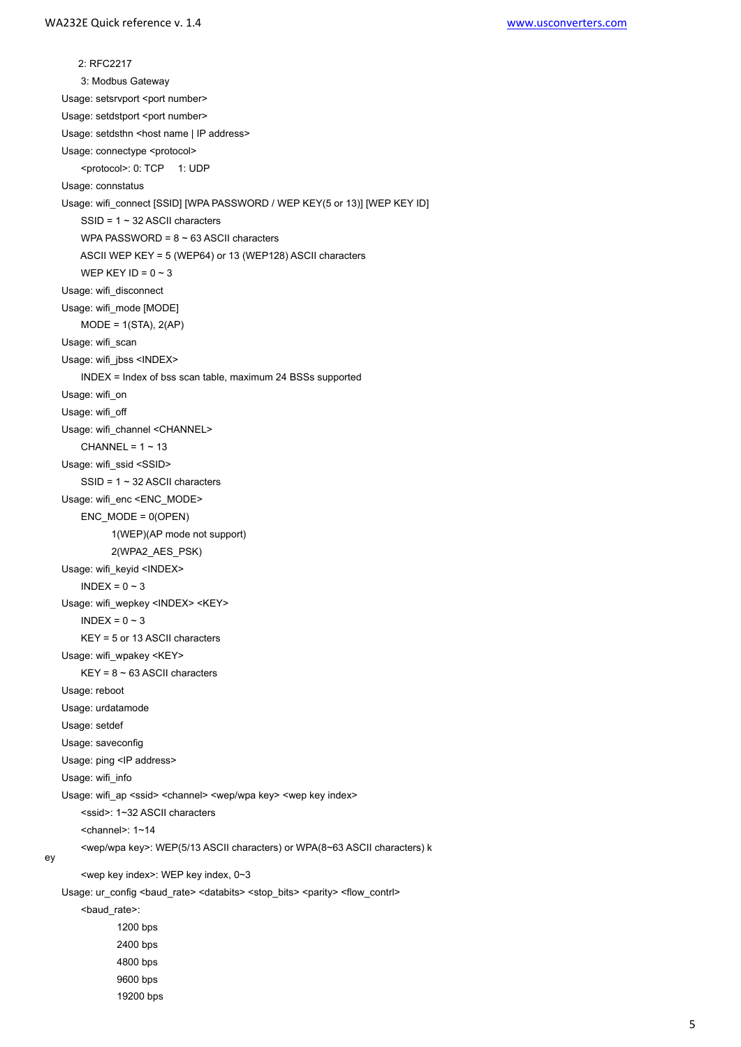2: RFC2217 3: Modbus Gateway Usage: setsrvport <port number> Usage: setdstport <port number> Usage: setdsthn <host name | IP address> Usage: connectype <protocol> <protocol>: 0: TCP 1: UDP Usage: connstatus Usage: wifi\_connect [SSID] [WPA PASSWORD / WEP KEY(5 or 13)] [WEP KEY ID] SSID = 1 ~ 32 ASCII characters WPA PASSWORD =  $8 \sim 63$  ASCII characters ASCII WEP KEY = 5 (WEP64) or 13 (WEP128) ASCII characters WEP KEY ID =  $0 \sim 3$ Usage: wifi\_disconnect Usage: wifi\_mode [MODE] MODE = 1(STA), 2(AP) Usage: wifi\_scan Usage: wifi\_jbss <INDEX> INDEX = Index of bss scan table, maximum 24 BSSs supported Usage: wifi\_on Usage: wifi\_off Usage: wifi\_channel <CHANNEL> CHANNEL =  $1 \sim 13$ Usage: wifi\_ssid <SSID> SSID = 1 ~ 32 ASCII characters Usage: wifi\_enc <ENC\_MODE>  $ENC$  MODE =  $0$ (OPEN) 1(WEP)(AP mode not support) 2(WPA2\_AES\_PSK) Usage: wifi\_keyid <INDEX>  $INDEX = 0 - 3$ Usage: wifi\_wepkey <INDEX> <KEY>  $INDEX = 0 \sim 3$  KEY = 5 or 13 ASCII characters Usage: wifi\_wpakey <KEY>  $KEY = 8 \sim 63$  ASCII characters Usage: reboot Usage: urdatamode Usage: setdef Usage: saveconfig Usage: ping <IP address> Usage: wifi\_info Usage: wifi\_ap <ssid> <channel> <wep/wpa key> <wep key index> <ssid>: 1~32 ASCII characters <channel>: 1~14 <wep/wpa key>: WEP(5/13 ASCII characters) or WPA(8~63 ASCII characters) k ey <wep key index>: WEP key index, 0~3 Usage: ur\_config <br/>baud\_rate> <databits> <stop\_bits> <parity> <flow\_contrl> <baud\_rate>: 1200 bps 2400 bps 4800 bps 9600 bps

19200 bps

5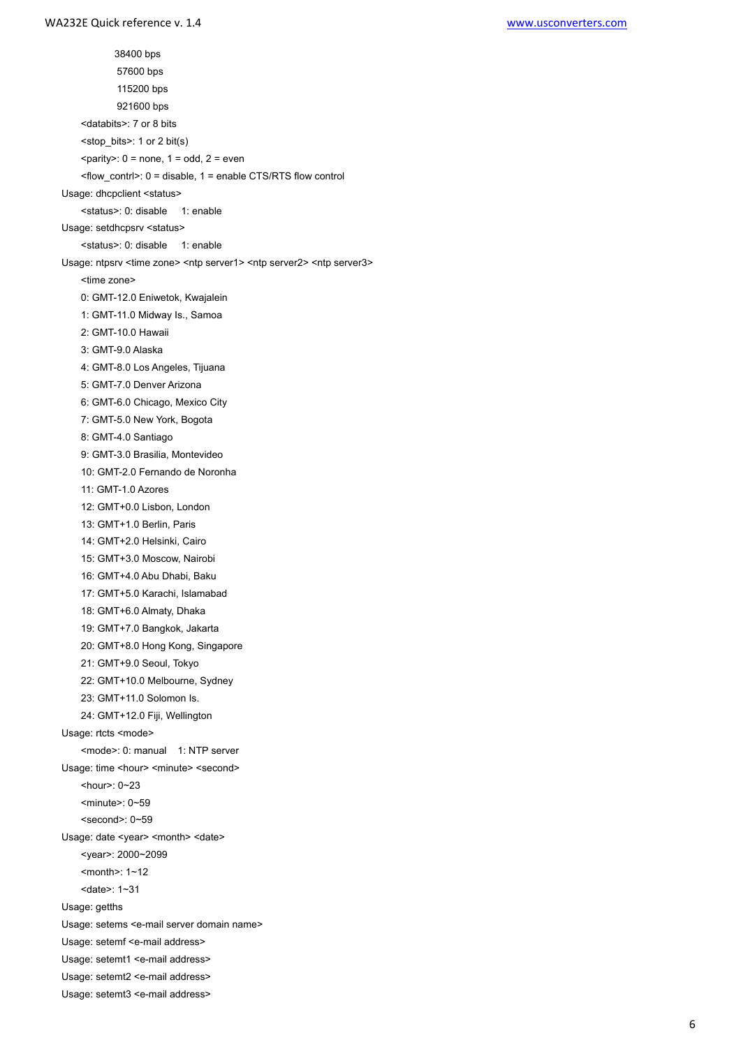38400 bps 57600 bps 115200 bps 921600 bps <databits>: 7 or 8 bits <stop\_bits>: 1 or 2 bit(s)  $\epsilon$  = parity>: 0 = none, 1 = odd, 2 = even <flow\_contrl>: 0 = disable, 1 = enable CTS/RTS flow control Usage: dhcpclient <status> <status>: 0: disable 1: enable Usage: setdhcpsrv <status> <status>: 0: disable 1: enable Usage: ntpsrv <time zone> <ntp server1> <ntp server2> <ntp server3> <time zone> 0: GMT-12.0 Eniwetok, Kwajalein 1: GMT-11.0 Midway Is., Samoa 2: GMT-10.0 Hawaii 3: GMT-9.0 Alaska 4: GMT-8.0 Los Angeles, Tijuana 5: GMT-7.0 Denver Arizona 6: GMT-6.0 Chicago, Mexico City 7: GMT-5.0 New York, Bogota 8: GMT-4.0 Santiago 9: GMT-3.0 Brasilia, Montevideo 10: GMT-2.0 Fernando de Noronha 11: GMT-1.0 Azores 12: GMT+0.0 Lisbon, London 13: GMT+1.0 Berlin, Paris 14: GMT+2.0 Helsinki, Cairo 15: GMT+3.0 Moscow, Nairobi 16: GMT+4.0 Abu Dhabi, Baku 17: GMT+5.0 Karachi, Islamabad 18: GMT+6.0 Almaty, Dhaka 19: GMT+7.0 Bangkok, Jakarta 20: GMT+8.0 Hong Kong, Singapore 21: GMT+9.0 Seoul, Tokyo 22: GMT+10.0 Melbourne, Sydney 23: GMT+11.0 Solomon Is. 24: GMT+12.0 Fiji, Wellington Usage: rtcts <mode> <mode>: 0: manual 1: NTP server Usage: time <hour> <minute> <second> <hour>: 0~23 <minute>: 0~59 <second>: 0~59 Usage: date <year> <month> <date> <year>: 2000~2099 <month>: 1~12 <date>: 1~31 Usage: getths Usage: setems <e-mail server domain name> Usage: setemf <e-mail address> Usage: setemt1 <e-mail address> Usage: setemt2 <e-mail address>

Usage: setemt3 <e-mail address>